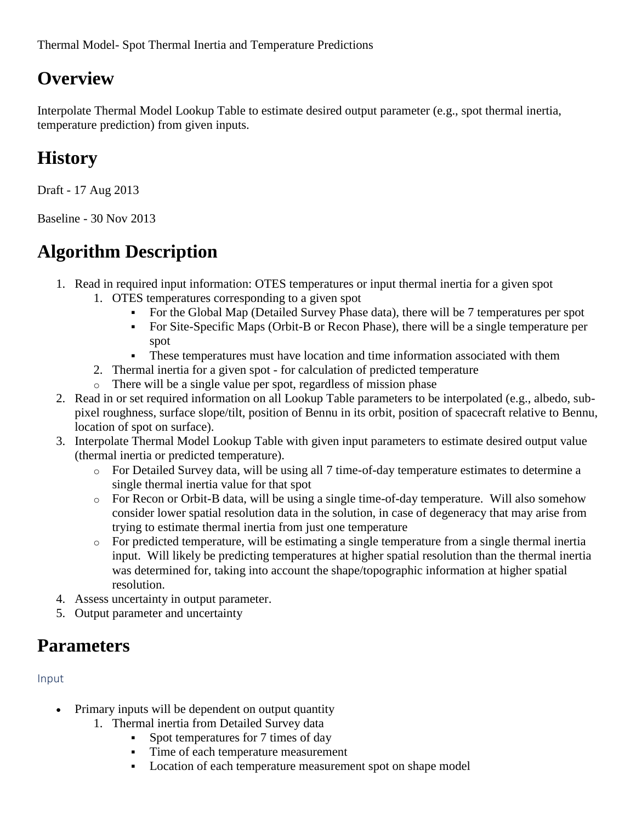Thermal Model- Spot Thermal Inertia and Temperature Predictions

## **Overview**

Interpolate Thermal Model Lookup Table to estimate desired output parameter (e.g., spot thermal inertia, temperature prediction) from given inputs.

# **History**

Draft - 17 Aug 2013

Baseline - 30 Nov 2013

# **Algorithm Description**

- 1. Read in required input information: OTES temperatures or input thermal inertia for a given spot
	- 1. OTES temperatures corresponding to a given spot
		- For the Global Map (Detailed Survey Phase data), there will be 7 temperatures per spot
		- For Site-Specific Maps (Orbit-B or Recon Phase), there will be a single temperature per spot
		- These temperatures must have location and time information associated with them
	- 2. Thermal inertia for a given spot for calculation of predicted temperature
	- o There will be a single value per spot, regardless of mission phase
- 2. Read in or set required information on all Lookup Table parameters to be interpolated (e.g., albedo, subpixel roughness, surface slope/tilt, position of Bennu in its orbit, position of spacecraft relative to Bennu, location of spot on surface).
- 3. Interpolate Thermal Model Lookup Table with given input parameters to estimate desired output value (thermal inertia or predicted temperature).
	- o For Detailed Survey data, will be using all 7 time-of-day temperature estimates to determine a single thermal inertia value for that spot
	- $\circ$  For Recon or Orbit-B data, will be using a single time-of-day temperature. Will also somehow consider lower spatial resolution data in the solution, in case of degeneracy that may arise from trying to estimate thermal inertia from just one temperature
	- o For predicted temperature, will be estimating a single temperature from a single thermal inertia input. Will likely be predicting temperatures at higher spatial resolution than the thermal inertia was determined for, taking into account the shape/topographic information at higher spatial resolution.
- 4. Assess uncertainty in output parameter.
- 5. Output parameter and uncertainty

## **Parameters**

### Input

- Primary inputs will be dependent on output quantity
	- 1. Thermal inertia from Detailed Survey data
		- Spot temperatures for 7 times of day
		- Time of each temperature measurement
		- **•** Location of each temperature measurement spot on shape model